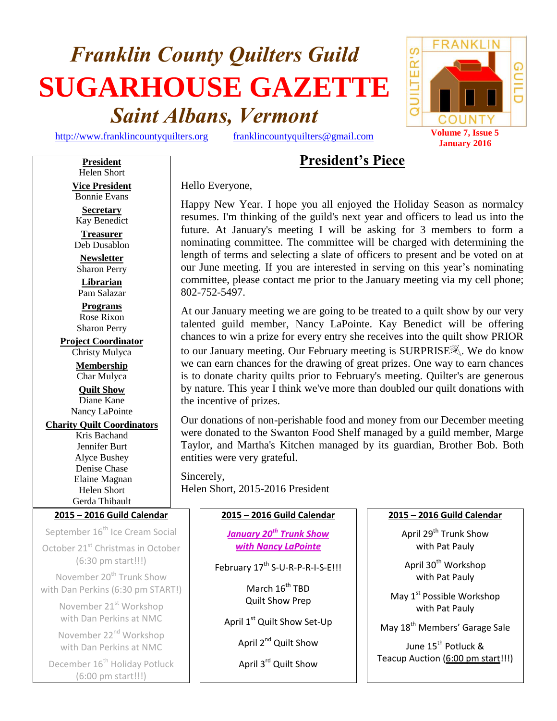# *Franklin County Quilters Guild* **SUGARHOUSE GAZETTE** *Saint Albans, Vermont*

[http://www.franklincountyquilters.org](http://www.franklincountyquilters.org/) [franklincountyquilters@gmail.com](mailto:franklincountyquilters@gmail.com) **Volume 7, Issue 5** 



# **President's Piece**

Hello Everyone,

Happy New Year. I hope you all enjoyed the Holiday Season as normalcy resumes. I'm thinking of the guild's next year and officers to lead us into the future. At January's meeting I will be asking for 3 members to form a nominating committee. The committee will be charged with determining the length of terms and selecting a slate of officers to present and be voted on at our June meeting. If you are interested in serving on this year's nominating committee, please contact me prior to the January meeting via my cell phone; 802-752-5497.

At our January meeting we are going to be treated to a quilt show by our very talented guild member, Nancy LaPointe. Kay Benedict will be offering chances to win a prize for every entry she receives into the quilt show PRIOR to our January meeting. Our February meeting is SURPRISE. We do know we can earn chances for the drawing of great prizes. One way to earn chances is to donate charity quilts prior to February's meeting. Quilter's are generous by nature. This year I think we've more than doubled our quilt donations with the incentive of prizes.

Our donations of non-perishable food and money from our December meeting were donated to the Swanton Food Shelf managed by a guild member, Marge Taylor, and Martha's Kitchen managed by its guardian, Brother Bob. Both entities were very grateful.

Sincerely, Helen Short, 2015-2016 President

#### **2015 – 2016 Guild Calendar**

*January 20th Trunk Show with Nancy LaPointe*

February 17<sup>th</sup> S-U-R-P-R-I-S-E!!!

March 16<sup>th</sup> TBD Quilt Show Prep

April 1<sup>st</sup> Quilt Show Set-Up

April 2<sup>nd</sup> Quilt Show

April 3<sup>rd</sup> Quilt Show

#### **2015 – 2016 Guild Calendar**

April 29<sup>th</sup> Trunk Show with Pat Pauly

April 30<sup>th</sup> Workshop with Pat Pauly

May 1<sup>st</sup> Possible Workshop with Pat Pauly

May 18<sup>th</sup> Members' Garage Sale

June 15<sup>th</sup> Potluck <mark>&</mark> Teacup Auction (6:00 pm start!!!)

Helen Short **Vice President** Bonnie Evans

**President**

**Secretary** Kay Benedict

**Treasurer** Deb Dusablon

**Newsletter** Sharon Perry **Librarian**

Pam Salazar **Programs**

Rose Rixon Sharon Perry

**Project Coordinator**

Christy Mulyca **Membership** Char Mulyca **Quilt Show** Diane Kane

Nancy LaPointe

#### **Charity Quilt Coordinators**

Kris Bachand Jennifer Burt Alyce Bushey Denise Chase Elaine Magnan Helen Short Gerda Thibault

#### **2015 – 2016 Guild Calendar**

September 16<sup>th</sup> Ice Cream Social October 21<sup>st</sup> Christmas in October (6:30 pm start!!!)

November 20<sup>th</sup> Trunk Show with Dan Perkins (6:30 pm START!)

> November 21<sup>st</sup> Workshop with Dan Perkins at NMC

November 22<sup>nd</sup> Workshop with Dan Perkins at NMC

December 16<sup>th</sup> Holiday Potluck (6:00 pm start!!!)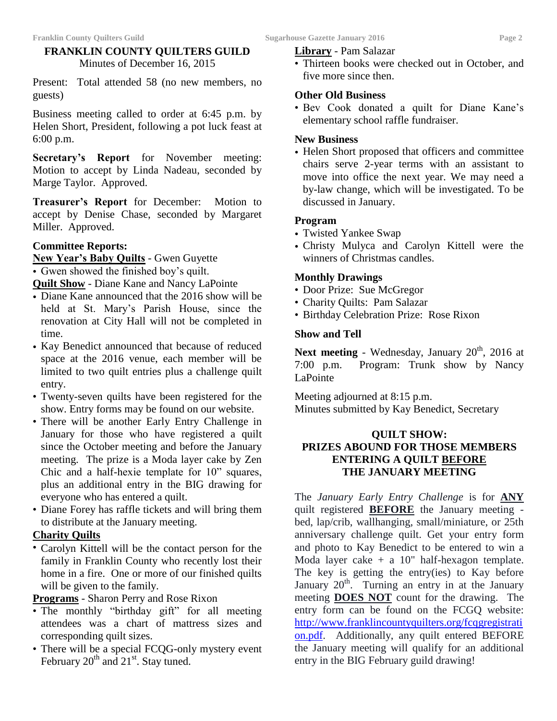#### **FRANKLIN COUNTY QUILTERS GUILD** Minutes of December 16, 2015

Present: Total attended 58 (no new members, no guests)

Business meeting called to order at 6:45 p.m. by Helen Short, President, following a pot luck feast at 6:00 p.m.

**Secretary's Report** for November meeting: Motion to accept by Linda Nadeau, seconded by Marge Taylor. Approved.

**Treasurer's Report** for December: Motion to accept by Denise Chase, seconded by Margaret Miller. Approved.

#### **Committee Reports:**

**New Year's Baby Quilts** - Gwen Guyette

• Gwen showed the finished boy's quilt.

**Quilt Show** - Diane Kane and Nancy LaPointe

- Diane Kane announced that the 2016 show will be held at St. Mary's Parish House, since the renovation at City Hall will not be completed in time.
- Kay Benedict announced that because of reduced space at the 2016 venue, each member will be limited to two quilt entries plus a challenge quilt entry.
- Twenty-seven quilts have been registered for the show. Entry forms may be found on our website.
- There will be another Early Entry Challenge in January for those who have registered a quilt since the October meeting and before the January meeting. The prize is a Moda layer cake by Zen Chic and a half-hexie template for 10" squares, plus an additional entry in the BIG drawing for everyone who has entered a quilt.
- Diane Forey has raffle tickets and will bring them to distribute at the January meeting.

#### **Charity Quilts**

• Carolyn Kittell will be the contact person for the family in Franklin County who recently lost their home in a fire. One or more of our finished quilts will be given to the family.

**Programs** - Sharon Perry and Rose Rixon

- The monthly "birthday gift" for all meeting attendees was a chart of mattress sizes and corresponding quilt sizes.
- There will be a special FCQG-only mystery event February  $20^{th}$  and  $21^{st}$ . Stay tuned.

#### **Library** - Pam Salazar

• Thirteen books were checked out in October, and five more since then.

#### **Other Old Business**

• Bev Cook donated a quilt for Diane Kane's elementary school raffle fundraiser.

#### **New Business**

• Helen Short proposed that officers and committee chairs serve 2-year terms with an assistant to move into office the next year. We may need a by-law change, which will be investigated. To be discussed in January.

#### **Program**

- Twisted Yankee Swap
- Christy Mulyca and Carolyn Kittell were the winners of Christmas candles.

#### **Monthly Drawings**

- Door Prize: Sue McGregor
- Charity Quilts: Pam Salazar
- Birthday Celebration Prize: Rose Rixon

#### **Show and Tell**

Next meeting - Wednesday, January 20<sup>th</sup>, 2016 at 7:00 p.m. Program: Trunk show by Nancy LaPointe

Meeting adjourned at 8:15 p.m. Minutes submitted by Kay Benedict, Secretary

#### **QUILT SHOW: PRIZES ABOUND FOR THOSE MEMBERS ENTERING A QUILT BEFORE THE JANUARY MEETING**

The *January Early Entry Challenge* is for **ANY** quilt registered **BEFORE** the January meeting bed, lap/crib, wallhanging, small/miniature, or 25th anniversary challenge quilt. Get your entry form and photo to Kay Benedict to be entered to win a Moda layer cake  $+ a 10$ " half-hexagon template. The key is getting the entry(ies) to Kay before January  $20<sup>th</sup>$ . Turning an entry in at the January meeting **DOES NOT** count for the drawing. The entry form can be found on the FCGQ website: [http://www.franklincountyquilters.org/fcqgregistrati](http://www.franklincountyquilters.org/fcqgregistration.pdf) [on.pdf.](http://www.franklincountyquilters.org/fcqgregistration.pdf) Additionally, any quilt entered BEFORE the January meeting will qualify for an additional entry in the BIG February guild drawing!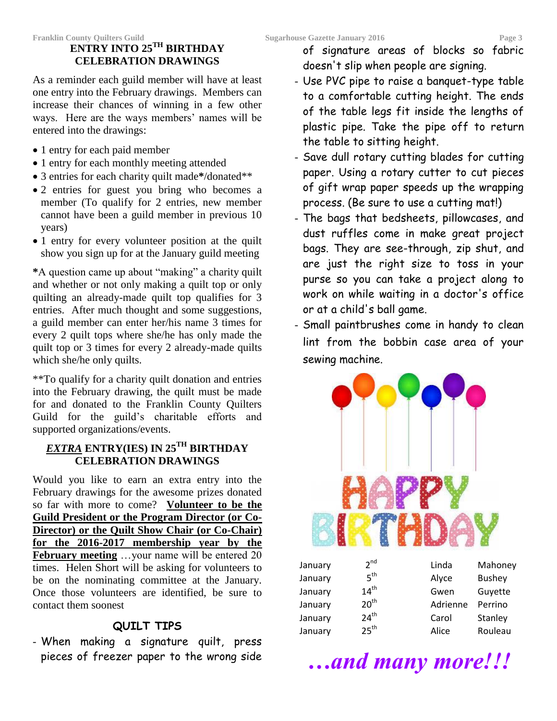# **ENTRY INTO 25TH BIRTHDAY CELEBRATION DRAWINGS**

As a reminder each guild member will have at least one entry into the February drawings. Members can increase their chances of winning in a few other ways. Here are the ways members' names will be entered into the drawings:

- 1 entry for each paid member
- 1 entry for each monthly meeting attended
- 3 entries for each charity quilt made**\***/donated\*\*
- 2 entries for guest you bring who becomes a member (To qualify for 2 entries, new member cannot have been a guild member in previous 10 years)
- 1 entry for every volunteer position at the quilt show you sign up for at the January guild meeting

**\***A question came up about "making" a charity quilt and whether or not only making a quilt top or only quilting an already-made quilt top qualifies for 3 entries. After much thought and some suggestions, a guild member can enter her/his name 3 times for every 2 quilt tops where she/he has only made the quilt top or 3 times for every 2 already-made quilts which she/he only quilts.

\*\*To qualify for a charity quilt donation and entries into the February drawing, the quilt must be made for and donated to the Franklin County Quilters Guild for the guild's charitable efforts and supported organizations/events.

### *EXTRA* **ENTRY(IES) IN 25TH BIRTHDAY CELEBRATION DRAWINGS**

Would you like to earn an extra entry into the February drawings for the awesome prizes donated so far with more to come? **Volunteer to be the Guild President or the Program Director (or Co-Director) or the Quilt Show Chair (or Co-Chair) for the 2016-2017 membership year by the February meeting** ...your name will be entered 20 times. Helen Short will be asking for volunteers to be on the nominating committee at the January. Once those volunteers are identified, be sure to contact them soonest

## **QUILT TIPS**

- When making a signature quilt, press pieces of freezer paper to the wrong side of signature areas of blocks so fabric doesn't slip when people are signing.

- Use PVC pipe to raise a banquet-type table to a comfortable cutting height. The ends of the table legs fit inside the lengths of plastic pipe. Take the pipe off to return the table to sitting height.
- Save dull rotary cutting blades for cutting paper. Using a rotary cutter to cut pieces of gift wrap paper speeds up the wrapping process. (Be sure to use a cutting mat!)
- The bags that bedsheets, pillowcases, and dust ruffles come in make great project bags. They are see-through, zip shut, and are just the right size to toss in your purse so you can take a project along to work on while waiting in a doctor's office or at a child's ball game.
- Small paintbrushes come in handy to clean lint from the bobbin case area of your sewing machine.



| Jaliudiy |                  | Linud    | <b>IVI</b> dIIONEY |
|----------|------------------|----------|--------------------|
| January  | 5 <sup>th</sup>  | Alyce    | <b>Bushey</b>      |
| January  | $14^{th}$        | Gwen     | Guyette            |
| January  | 20 <sup>th</sup> | Adrienne | Perrino            |
| January  | 24 <sup>th</sup> | Carol    | Stanley            |
| January  | 25 <sup>th</sup> | Alice    | Rouleau            |
|          |                  |          |                    |

*…and many more!!!*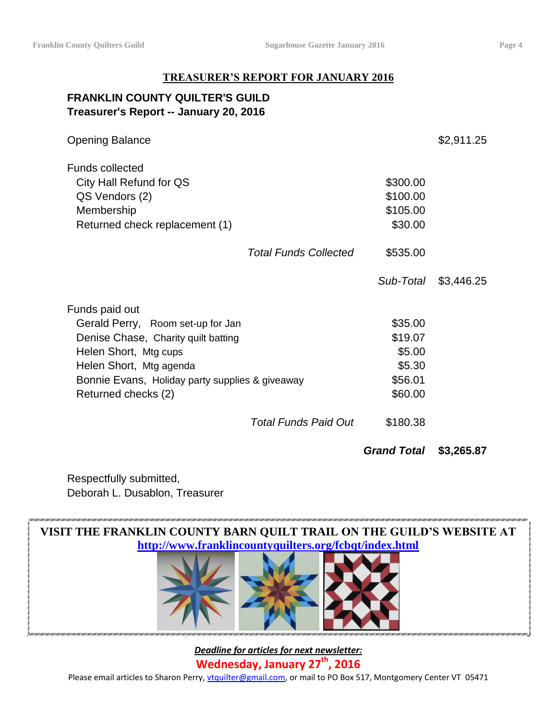#### **TREASURER'S REPORT FOR JANUARY 2016**

#### **FRANKLIN COUNTY QUILTER'S GUILD Treasurer's Report -- January 20, 2016**

|                                                 |                              | <b>Grand Total</b> | \$3,265.87 |
|-------------------------------------------------|------------------------------|--------------------|------------|
|                                                 | <b>Total Funds Paid Out</b>  | \$180.38           |            |
| Returned checks (2)                             |                              | \$60.00            |            |
| Bonnie Evans, Holiday party supplies & giveaway | \$56.01                      |                    |            |
| Helen Short, Mtg agenda                         | \$5.30                       |                    |            |
| Helen Short, Mtg cups                           |                              | \$5.00             |            |
| Denise Chase, Charity quilt batting             | \$19.07                      |                    |            |
| Gerald Perry, Room set-up for Jan               |                              | \$35.00            |            |
| Funds paid out                                  |                              |                    |            |
|                                                 |                              | Sub-Total          | \$3,446.25 |
|                                                 | <b>Total Funds Collected</b> | \$535.00           |            |
| Returned check replacement (1)                  |                              | \$30.00            |            |
| Membership                                      |                              | \$105.00           |            |
| QS Vendors (2)                                  |                              | \$100.00           |            |
| City Hall Refund for QS                         |                              | \$300.00           |            |
| <b>Funds collected</b>                          |                              |                    |            |
| <b>Opening Balance</b>                          |                              |                    | \$2,911.25 |

Respectfully submitted, Deborah L. Dusablon, Treasurer



*Deadline for articles for next newsletter:* **Wednesday, January 27th , 2016** Please email articles to Sharon Perry, [vtquilter@gmail.com,](mailto:vtquilter@gmail.com) or mail to PO Box 517, Montgomery Center VT 05471